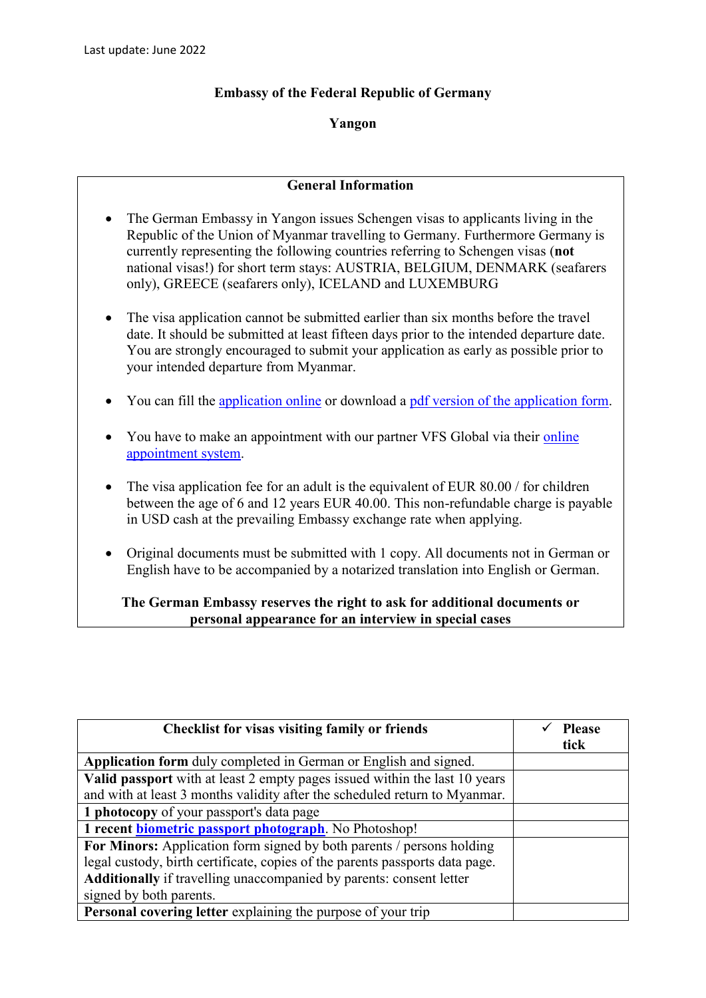## **Embassy of the Federal Republic of Germany**

## **Yangon**

## **General Information**

- The German Embassy in Yangon issues Schengen visas to applicants living in the Republic of the Union of Myanmar travelling to Germany. Furthermore Germany is currently representing the following countries referring to Schengen visas (**not** national visas!) for short term stays: AUSTRIA, BELGIUM, DENMARK (seafarers only), GREECE (seafarers only), ICELAND and LUXEMBURG
- The visa application cannot be submitted earlier than six months before the travel date. It should be submitted at least fifteen days prior to the intended departure date. You are strongly encouraged to submit your application as early as possible prior to your intended departure from Myanmar.
- You can fill the [application online](https://videx.diplo.de/videx/desktop/index.html#start) or download a [pdf version of the application form.](https://rangun.diplo.de/blob/2296922/0feb255c6e49752f82ab1e35bdda3656/antrag-schengenvisum-data.pdf)
- You have to make an appointment with our partner VFS Global via their online [appointment system.](https://www.vfsglobal.com/Germany/Myanmar/)
- The visa application fee for an adult is the equivalent of EUR 80.00 / for children between the age of 6 and 12 years EUR 40.00. This non-refundable charge is payable in USD cash at the prevailing Embassy exchange rate when applying.
- Original documents must be submitted with 1 copy. All documents not in German or English have to be accompanied by a notarized translation into English or German.

## **The German Embassy reserves the right to ask for additional documents or personal appearance for an interview in special cases**

| <b>Checklist for visas visiting family or friends</b>                        | <b>Please</b><br>tick |
|------------------------------------------------------------------------------|-----------------------|
| Application form duly completed in German or English and signed.             |                       |
| Valid passport with at least 2 empty pages issued within the last 10 years   |                       |
| and with at least 3 months validity after the scheduled return to Myanmar.   |                       |
| 1 photocopy of your passport's data page                                     |                       |
| 1 recent <b>biometric passport photograph</b> . No Photoshop!                |                       |
| For Minors: Application form signed by both parents / persons holding        |                       |
| legal custody, birth certificate, copies of the parents passports data page. |                       |
| Additionally if travelling unaccompanied by parents: consent letter          |                       |
| signed by both parents.                                                      |                       |
| Personal covering letter explaining the purpose of your trip                 |                       |